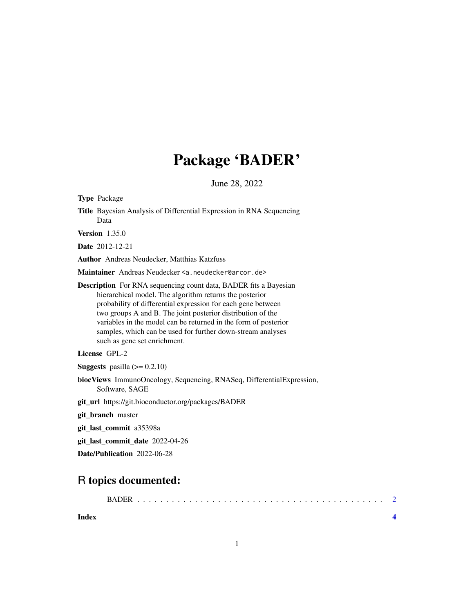## Package 'BADER'

June 28, 2022

Type Package Title Bayesian Analysis of Differential Expression in RNA Sequencing Data Version 1.35.0 Date 2012-12-21 Author Andreas Neudecker, Matthias Katzfuss Maintainer Andreas Neudecker <a.neudecker@arcor.de> Description For RNA sequencing count data, BADER fits a Bayesian hierarchical model. The algorithm returns the posterior probability of differential expression for each gene between two groups A and B. The joint posterior distribution of the variables in the model can be returned in the form of posterior samples, which can be used for further down-stream analyses such as gene set enrichment. License GPL-2 **Suggests** pasilla  $(>= 0.2.10)$ biocViews ImmunoOncology, Sequencing, RNASeq, DifferentialExpression, Software, SAGE

git\_url https://git.bioconductor.org/packages/BADER

git\_branch master

git\_last\_commit a35398a

git\_last\_commit\_date 2022-04-26

Date/Publication 2022-06-28

### R topics documented:

| <b>BADER</b> |
|--------------|
|              |

**Index** [4](#page-3-0)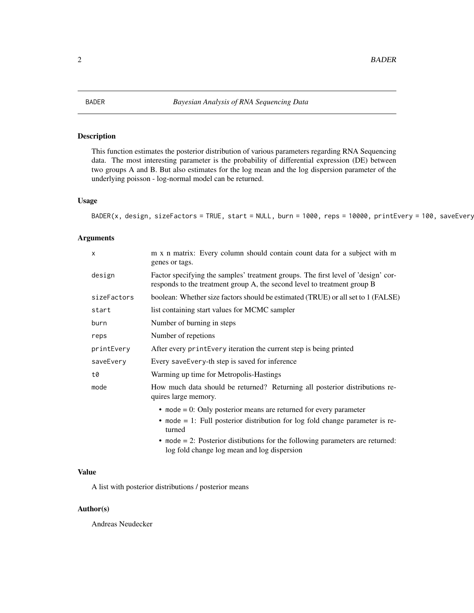<span id="page-1-0"></span>

#### Description

This function estimates the posterior distribution of various parameters regarding RNA Sequencing data. The most interesting parameter is the probability of differential expression (DE) between two groups A and B. But also estimates for the log mean and the log dispersion parameter of the underlying poisson - log-normal model can be returned.

#### Usage

```
BADER(x, design, sizeFactors = TRUE, start = NULL, burn = 1000, reps = 10000, printEvery = 100, saveEvery
```
#### Arguments

| m x n matrix: Every column should contain count data for a subject with m<br>genes or tags.                                                                            |
|------------------------------------------------------------------------------------------------------------------------------------------------------------------------|
| Factor specifying the samples' treatment groups. The first level of 'design' cor-<br>responds to the treatment group A, the second level to treatment group B          |
| boolean: Whether size factors should be estimated (TRUE) or all set to 1 (FALSE)                                                                                       |
| list containing start values for MCMC sampler                                                                                                                          |
| Number of burning in steps                                                                                                                                             |
| Number of repetions                                                                                                                                                    |
| After every print Every iteration the current step is being printed                                                                                                    |
| Every save Every-th step is saved for inference                                                                                                                        |
| Warming up time for Metropolis-Hastings                                                                                                                                |
| How much data should be returned? Returning all posterior distributions re-<br>quires large memory.                                                                    |
| • mode $= 0$ : Only posterior means are returned for every parameter<br>$\bullet$ mode = 1: Full posterior distribution for log fold change parameter is re-<br>turned |
|                                                                                                                                                                        |

• mode = 2: Posterior distibutions for the following parameters are returned: log fold change log mean and log dispersion

#### Value

A list with posterior distributions / posterior means

#### Author(s)

Andreas Neudecker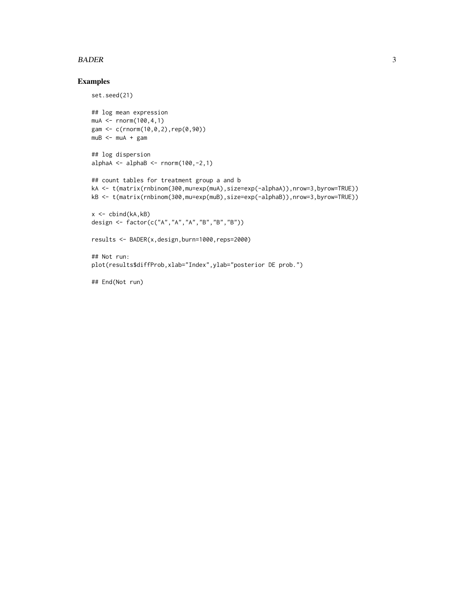#### BADER 3

#### Examples

```
set.seed(21)
## log mean expression
muA <- rnorm(100,4,1)
gam <- c(rnorm(10,0,2),rep(0,90))
mUB < - mUA + gam## log dispersion
alphaA <- alphaB <- rnorm(100, -2, 1)## count tables for treatment group a and b
kA <- t(matrix(rnbinom(300,mu=exp(muA),size=exp(-alphaA)),nrow=3,byrow=TRUE))
kB <- t(matrix(rnbinom(300,mu=exp(muB),size=exp(-alphaB)),nrow=3,byrow=TRUE))
x \leftarrow \text{cbind}(kA, kB)design <- factor(c("A","A","A","B","B","B"))
results <- BADER(x,design,burn=1000,reps=2000)
## Not run:
plot(results$diffProb,xlab="Index",ylab="posterior DE prob.")
```
## End(Not run)